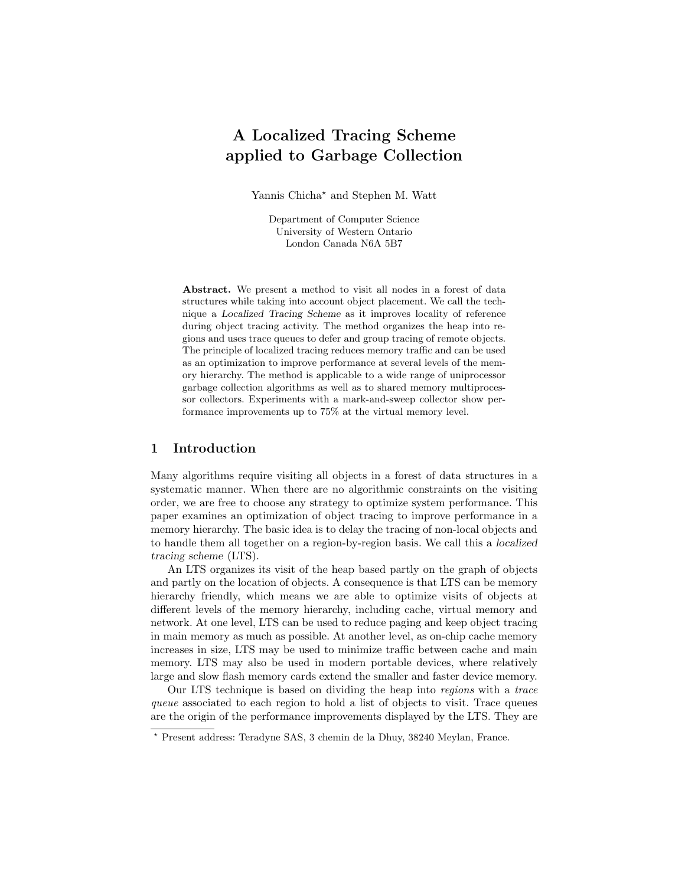# A Localized Tracing Scheme applied to Garbage Collection

Yannis Chicha<sup>\*</sup> and Stephen M. Watt

Department of Computer Science University of Western Ontario London Canada N6A 5B7

Abstract. We present a method to visit all nodes in a forest of data structures while taking into account object placement. We call the technique a Localized Tracing Scheme as it improves locality of reference during object tracing activity. The method organizes the heap into regions and uses trace queues to defer and group tracing of remote objects. The principle of localized tracing reduces memory traffic and can be used as an optimization to improve performance at several levels of the memory hierarchy. The method is applicable to a wide range of uniprocessor garbage collection algorithms as well as to shared memory multiprocessor collectors. Experiments with a mark-and-sweep collector show performance improvements up to 75% at the virtual memory level.

# 1 Introduction

Many algorithms require visiting all objects in a forest of data structures in a systematic manner. When there are no algorithmic constraints on the visiting order, we are free to choose any strategy to optimize system performance. This paper examines an optimization of object tracing to improve performance in a memory hierarchy. The basic idea is to delay the tracing of non-local objects and to handle them all together on a region-by-region basis. We call this a localized tracing scheme (LTS).

An LTS organizes its visit of the heap based partly on the graph of objects and partly on the location of objects. A consequence is that LTS can be memory hierarchy friendly, which means we are able to optimize visits of objects at different levels of the memory hierarchy, including cache, virtual memory and network. At one level, LTS can be used to reduce paging and keep object tracing in main memory as much as possible. At another level, as on-chip cache memory increases in size, LTS may be used to minimize traffic between cache and main memory. LTS may also be used in modern portable devices, where relatively large and slow flash memory cards extend the smaller and faster device memory.

Our LTS technique is based on dividing the heap into regions with a trace queue associated to each region to hold a list of objects to visit. Trace queues are the origin of the performance improvements displayed by the LTS. They are

<sup>?</sup> Present address: Teradyne SAS, 3 chemin de la Dhuy, 38240 Meylan, France.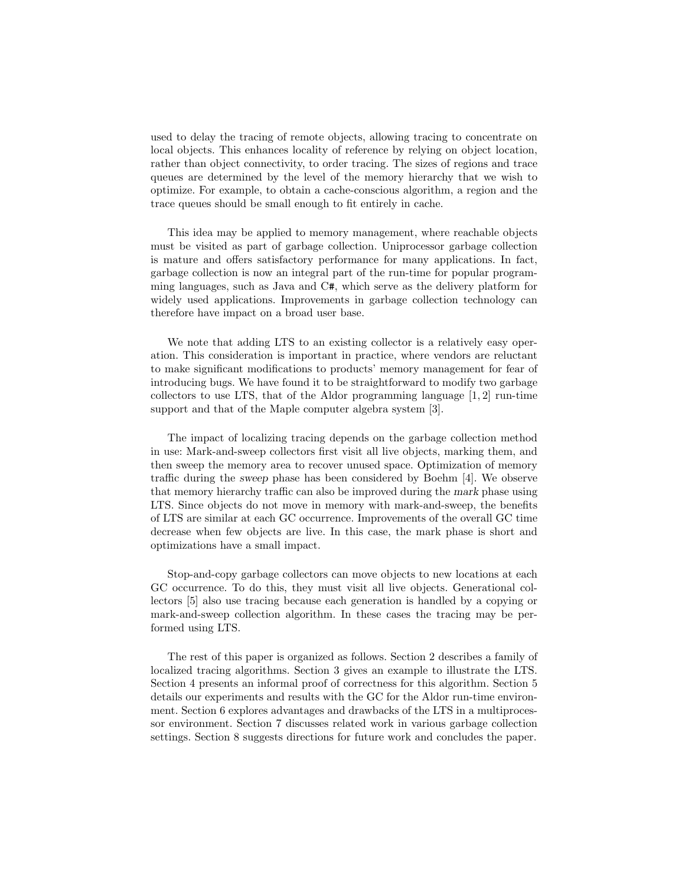used to delay the tracing of remote objects, allowing tracing to concentrate on local objects. This enhances locality of reference by relying on object location, rather than object connectivity, to order tracing. The sizes of regions and trace queues are determined by the level of the memory hierarchy that we wish to optimize. For example, to obtain a cache-conscious algorithm, a region and the trace queues should be small enough to fit entirely in cache.

This idea may be applied to memory management, where reachable objects must be visited as part of garbage collection. Uniprocessor garbage collection is mature and offers satisfactory performance for many applications. In fact, garbage collection is now an integral part of the run-time for popular programming languages, such as Java and  $C\#$ , which serve as the delivery platform for widely used applications. Improvements in garbage collection technology can therefore have impact on a broad user base.

We note that adding LTS to an existing collector is a relatively easy operation. This consideration is important in practice, where vendors are reluctant to make significant modifications to products' memory management for fear of introducing bugs. We have found it to be straightforward to modify two garbage collectors to use LTS, that of the Aldor programming language  $[1, 2]$  run-time support and that of the Maple computer algebra system [3].

The impact of localizing tracing depends on the garbage collection method in use: Mark-and-sweep collectors first visit all live objects, marking them, and then sweep the memory area to recover unused space. Optimization of memory traffic during the sweep phase has been considered by Boehm [4]. We observe that memory hierarchy traffic can also be improved during the mark phase using LTS. Since objects do not move in memory with mark-and-sweep, the benefits of LTS are similar at each GC occurrence. Improvements of the overall GC time decrease when few objects are live. In this case, the mark phase is short and optimizations have a small impact.

Stop-and-copy garbage collectors can move objects to new locations at each GC occurrence. To do this, they must visit all live objects. Generational collectors [5] also use tracing because each generation is handled by a copying or mark-and-sweep collection algorithm. In these cases the tracing may be performed using LTS.

The rest of this paper is organized as follows. Section 2 describes a family of localized tracing algorithms. Section 3 gives an example to illustrate the LTS. Section 4 presents an informal proof of correctness for this algorithm. Section 5 details our experiments and results with the GC for the Aldor run-time environment. Section 6 explores advantages and drawbacks of the LTS in a multiprocessor environment. Section 7 discusses related work in various garbage collection settings. Section 8 suggests directions for future work and concludes the paper.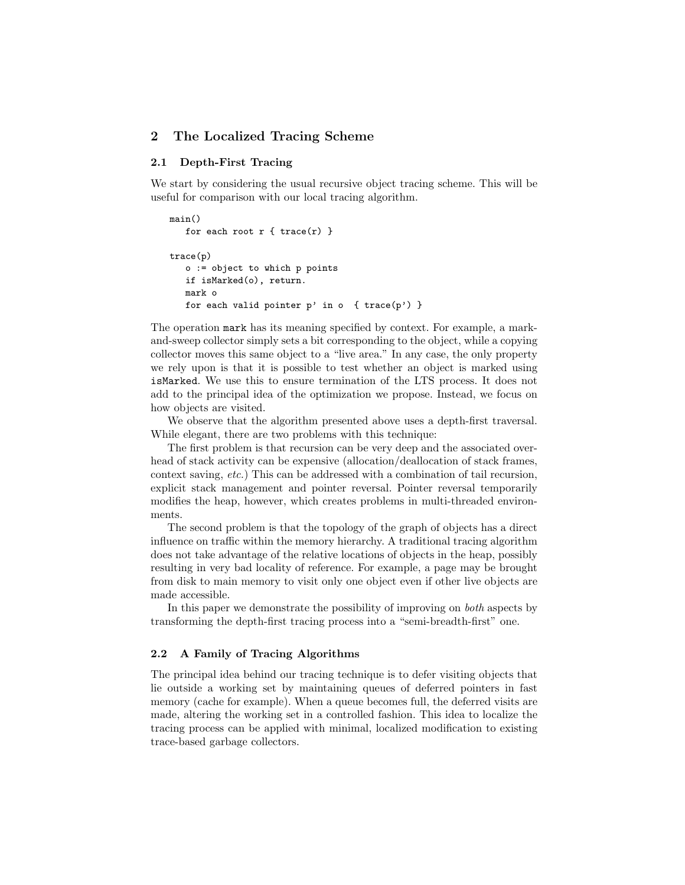# 2 The Localized Tracing Scheme

#### 2.1 Depth-First Tracing

We start by considering the usual recursive object tracing scheme. This will be useful for comparison with our local tracing algorithm.

```
main()
   for each root r \{ trace(r) \}trace(p)
   o := object to which p points
   if isMarked(o), return.
  mark o
   for each valid pointer p' in o { trace(p') }
```
The operation mark has its meaning specified by context. For example, a markand-sweep collector simply sets a bit corresponding to the object, while a copying collector moves this same object to a "live area." In any case, the only property we rely upon is that it is possible to test whether an object is marked using isMarked. We use this to ensure termination of the LTS process. It does not add to the principal idea of the optimization we propose. Instead, we focus on how objects are visited.

We observe that the algorithm presented above uses a depth-first traversal. While elegant, there are two problems with this technique:

The first problem is that recursion can be very deep and the associated overhead of stack activity can be expensive (allocation/deallocation of stack frames, context saving, etc.) This can be addressed with a combination of tail recursion, explicit stack management and pointer reversal. Pointer reversal temporarily modifies the heap, however, which creates problems in multi-threaded environments.

The second problem is that the topology of the graph of objects has a direct influence on traffic within the memory hierarchy. A traditional tracing algorithm does not take advantage of the relative locations of objects in the heap, possibly resulting in very bad locality of reference. For example, a page may be brought from disk to main memory to visit only one object even if other live objects are made accessible.

In this paper we demonstrate the possibility of improving on both aspects by transforming the depth-first tracing process into a "semi-breadth-first" one.

## 2.2 A Family of Tracing Algorithms

The principal idea behind our tracing technique is to defer visiting objects that lie outside a working set by maintaining queues of deferred pointers in fast memory (cache for example). When a queue becomes full, the deferred visits are made, altering the working set in a controlled fashion. This idea to localize the tracing process can be applied with minimal, localized modification to existing trace-based garbage collectors.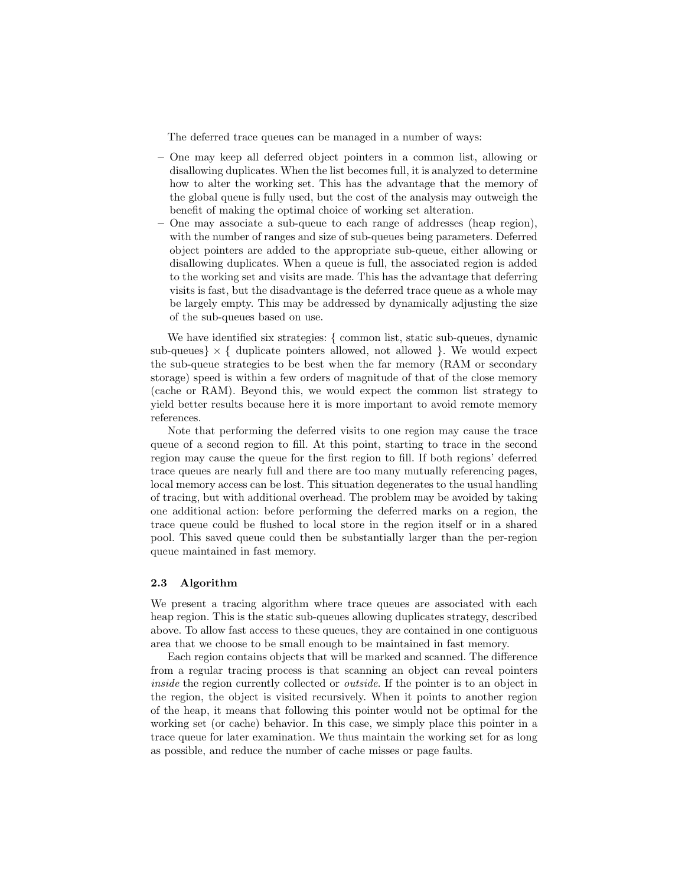The deferred trace queues can be managed in a number of ways:

- One may keep all deferred object pointers in a common list, allowing or disallowing duplicates. When the list becomes full, it is analyzed to determine how to alter the working set. This has the advantage that the memory of the global queue is fully used, but the cost of the analysis may outweigh the benefit of making the optimal choice of working set alteration.
- One may associate a sub-queue to each range of addresses (heap region), with the number of ranges and size of sub-queues being parameters. Deferred object pointers are added to the appropriate sub-queue, either allowing or disallowing duplicates. When a queue is full, the associated region is added to the working set and visits are made. This has the advantage that deferring visits is fast, but the disadvantage is the deferred trace queue as a whole may be largely empty. This may be addressed by dynamically adjusting the size of the sub-queues based on use.

We have identified six strategies: { common list, static sub-queues, dynamic sub-queues}  $\times$  { duplicate pointers allowed, not allowed }. We would expect the sub-queue strategies to be best when the far memory (RAM or secondary storage) speed is within a few orders of magnitude of that of the close memory (cache or RAM). Beyond this, we would expect the common list strategy to yield better results because here it is more important to avoid remote memory references.

Note that performing the deferred visits to one region may cause the trace queue of a second region to fill. At this point, starting to trace in the second region may cause the queue for the first region to fill. If both regions' deferred trace queues are nearly full and there are too many mutually referencing pages, local memory access can be lost. This situation degenerates to the usual handling of tracing, but with additional overhead. The problem may be avoided by taking one additional action: before performing the deferred marks on a region, the trace queue could be flushed to local store in the region itself or in a shared pool. This saved queue could then be substantially larger than the per-region queue maintained in fast memory.

#### 2.3 Algorithm

We present a tracing algorithm where trace queues are associated with each heap region. This is the static sub-queues allowing duplicates strategy, described above. To allow fast access to these queues, they are contained in one contiguous area that we choose to be small enough to be maintained in fast memory.

Each region contains objects that will be marked and scanned. The difference from a regular tracing process is that scanning an object can reveal pointers inside the region currently collected or *outside*. If the pointer is to an object in the region, the object is visited recursively. When it points to another region of the heap, it means that following this pointer would not be optimal for the working set (or cache) behavior. In this case, we simply place this pointer in a trace queue for later examination. We thus maintain the working set for as long as possible, and reduce the number of cache misses or page faults.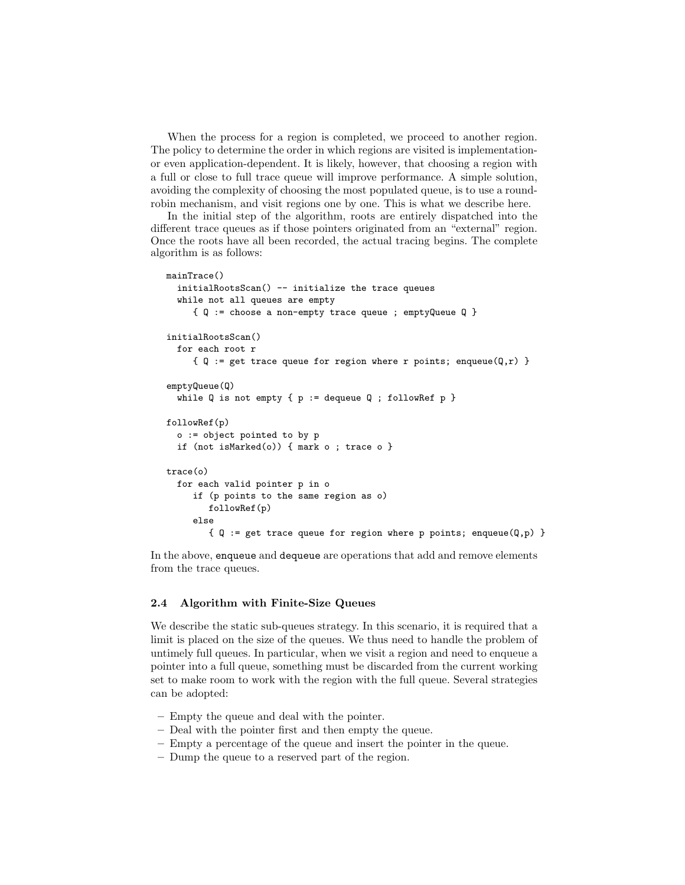When the process for a region is completed, we proceed to another region. The policy to determine the order in which regions are visited is implementationor even application-dependent. It is likely, however, that choosing a region with a full or close to full trace queue will improve performance. A simple solution, avoiding the complexity of choosing the most populated queue, is to use a roundrobin mechanism, and visit regions one by one. This is what we describe here.

In the initial step of the algorithm, roots are entirely dispatched into the different trace queues as if those pointers originated from an "external" region. Once the roots have all been recorded, the actual tracing begins. The complete algorithm is as follows:

```
mainTrace()
  initialRootsScan() -- initialize the trace queues
  while not all queues are empty
     { Q := choose a non-empty trace queue ; emptyQueue Q }
initialRootsScan()
  for each root r
     {Q := get trace queue for region where r points; enqueue(Q,r) }
emptyQueue(Q)
  while Q is not empty { p := dequeue Q ; followRef p }
followRef(p)
  o := object pointed to by p
  if (not isMarked(o)) { mark o ; trace o }
trace(o)
  for each valid pointer p in o
     if (p points to the same region as o)
        followRef(p)
     else
        { Q := get trace queue for region where p points; enqueue(Q,p) }
```
In the above, enqueue and dequeue are operations that add and remove elements from the trace queues.

#### 2.4 Algorithm with Finite-Size Queues

We describe the static sub-queues strategy. In this scenario, it is required that a limit is placed on the size of the queues. We thus need to handle the problem of untimely full queues. In particular, when we visit a region and need to enqueue a pointer into a full queue, something must be discarded from the current working set to make room to work with the region with the full queue. Several strategies can be adopted:

- Empty the queue and deal with the pointer.
- Deal with the pointer first and then empty the queue.
- Empty a percentage of the queue and insert the pointer in the queue.
- Dump the queue to a reserved part of the region.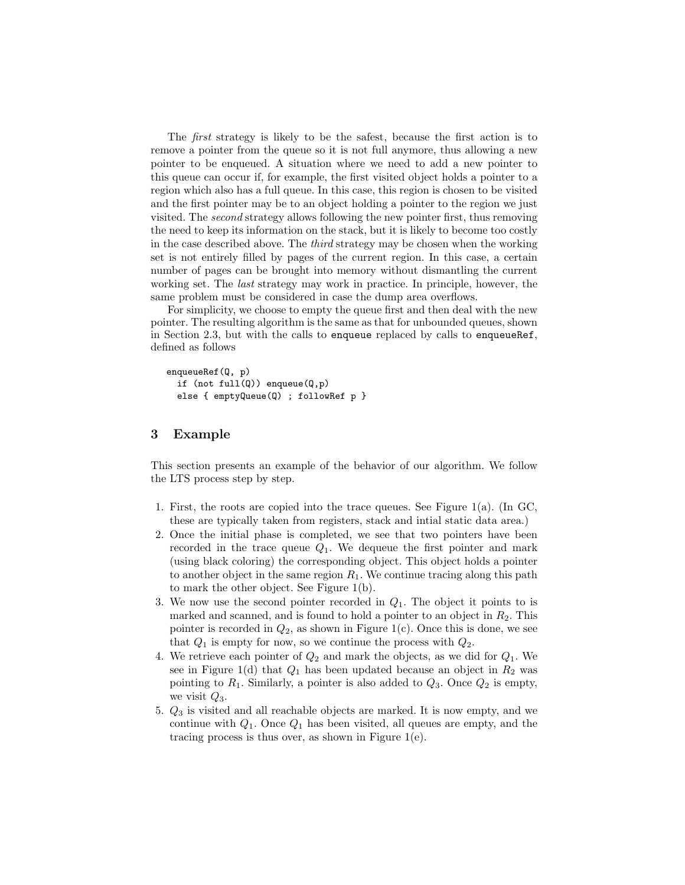The first strategy is likely to be the safest, because the first action is to remove a pointer from the queue so it is not full anymore, thus allowing a new pointer to be enqueued. A situation where we need to add a new pointer to this queue can occur if, for example, the first visited object holds a pointer to a region which also has a full queue. In this case, this region is chosen to be visited and the first pointer may be to an object holding a pointer to the region we just visited. The second strategy allows following the new pointer first, thus removing the need to keep its information on the stack, but it is likely to become too costly in the case described above. The third strategy may be chosen when the working set is not entirely filled by pages of the current region. In this case, a certain number of pages can be brought into memory without dismantling the current working set. The last strategy may work in practice. In principle, however, the same problem must be considered in case the dump area overflows.

For simplicity, we choose to empty the queue first and then deal with the new pointer. The resulting algorithm is the same as that for unbounded queues, shown in Section 2.3, but with the calls to enqueue replaced by calls to enqueueRef, defined as follows

```
enqueueRef(Q, p)
  if (not full(Q)) enqueue(Q, p)else { emptyQueue(Q) ; followRef p }
```
## 3 Example

This section presents an example of the behavior of our algorithm. We follow the LTS process step by step.

- 1. First, the roots are copied into the trace queues. See Figure 1(a). (In GC, these are typically taken from registers, stack and intial static data area.)
- 2. Once the initial phase is completed, we see that two pointers have been recorded in the trace queue  $Q_1$ . We dequeue the first pointer and mark (using black coloring) the corresponding object. This object holds a pointer to another object in the same region  $R_1$ . We continue tracing along this path to mark the other object. See Figure 1(b).
- 3. We now use the second pointer recorded in  $Q_1$ . The object it points to is marked and scanned, and is found to hold a pointer to an object in  $R_2$ . This pointer is recorded in  $Q_2$ , as shown in Figure 1(c). Once this is done, we see that  $Q_1$  is empty for now, so we continue the process with  $Q_2$ .
- 4. We retrieve each pointer of  $Q_2$  and mark the objects, as we did for  $Q_1$ . We see in Figure 1(d) that  $Q_1$  has been updated because an object in  $R_2$  was pointing to  $R_1$ . Similarly, a pointer is also added to  $Q_3$ . Once  $Q_2$  is empty, we visit  $Q_3$ .
- 5.  $Q_3$  is visited and all reachable objects are marked. It is now empty, and we continue with  $Q_1$ . Once  $Q_1$  has been visited, all queues are empty, and the tracing process is thus over, as shown in Figure 1(e).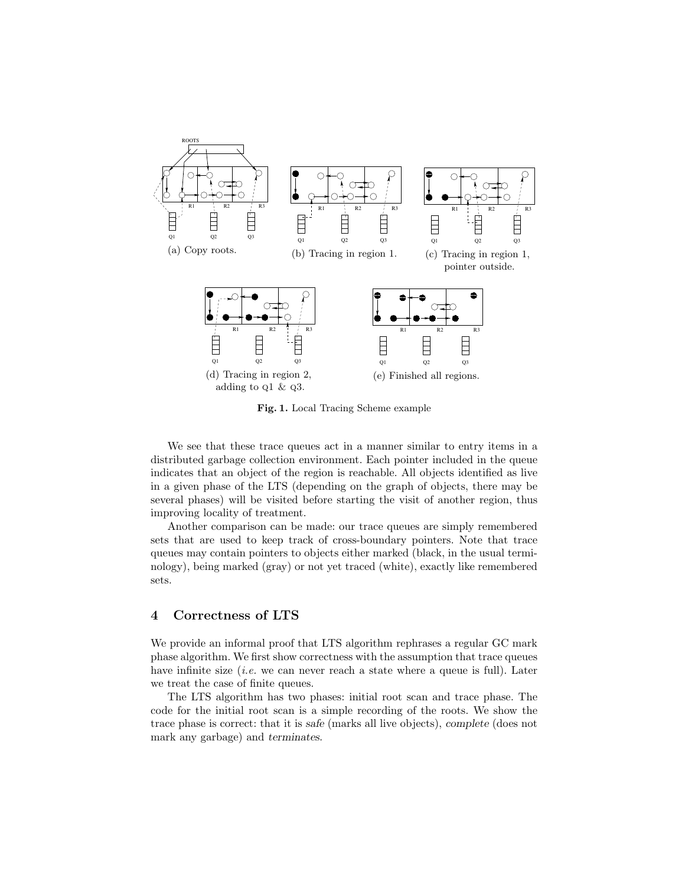

Fig. 1. Local Tracing Scheme example

We see that these trace queues act in a manner similar to entry items in a distributed garbage collection environment. Each pointer included in the queue indicates that an object of the region is reachable. All objects identified as live in a given phase of the LTS (depending on the graph of objects, there may be several phases) will be visited before starting the visit of another region, thus improving locality of treatment.

Another comparison can be made: our trace queues are simply remembered sets that are used to keep track of cross-boundary pointers. Note that trace queues may contain pointers to objects either marked (black, in the usual terminology), being marked (gray) or not yet traced (white), exactly like remembered sets.

## 4 Correctness of LTS

We provide an informal proof that LTS algorithm rephrases a regular GC mark phase algorithm. We first show correctness with the assumption that trace queues have infinite size (*i.e.* we can never reach a state where a queue is full). Later we treat the case of finite queues.

The LTS algorithm has two phases: initial root scan and trace phase. The code for the initial root scan is a simple recording of the roots. We show the trace phase is correct: that it is safe (marks all live objects), complete (does not mark any garbage) and terminates.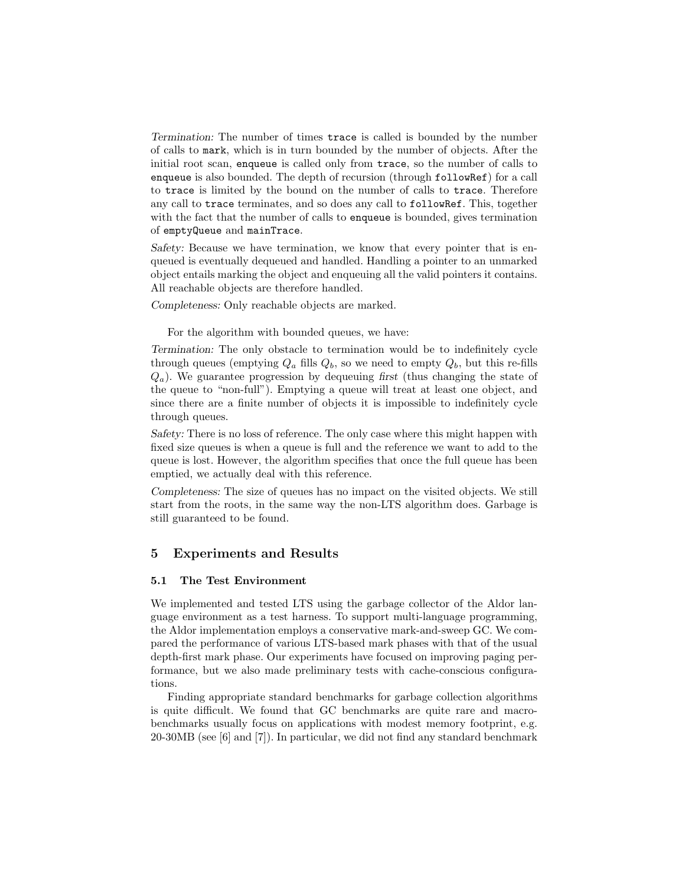Termination: The number of times trace is called is bounded by the number of calls to mark, which is in turn bounded by the number of objects. After the initial root scan, enqueue is called only from trace, so the number of calls to enqueue is also bounded. The depth of recursion (through followRef) for a call to trace is limited by the bound on the number of calls to trace. Therefore any call to trace terminates, and so does any call to followRef. This, together with the fact that the number of calls to enqueue is bounded, gives termination of emptyQueue and mainTrace.

Safety: Because we have termination, we know that every pointer that is enqueued is eventually dequeued and handled. Handling a pointer to an unmarked object entails marking the object and enqueuing all the valid pointers it contains. All reachable objects are therefore handled.

Completeness: Only reachable objects are marked.

For the algorithm with bounded queues, we have:

Termination: The only obstacle to termination would be to indefinitely cycle through queues (emptying  $Q_a$  fills  $Q_b$ , so we need to empty  $Q_b$ , but this re-fills  $Q_a$ ). We guarantee progression by dequeuing first (thus changing the state of the queue to "non-full"). Emptying a queue will treat at least one object, and since there are a finite number of objects it is impossible to indefinitely cycle through queues.

Safety: There is no loss of reference. The only case where this might happen with fixed size queues is when a queue is full and the reference we want to add to the queue is lost. However, the algorithm specifies that once the full queue has been emptied, we actually deal with this reference.

Completeness: The size of queues has no impact on the visited objects. We still start from the roots, in the same way the non-LTS algorithm does. Garbage is still guaranteed to be found.

# 5 Experiments and Results

## 5.1 The Test Environment

We implemented and tested LTS using the garbage collector of the Aldor language environment as a test harness. To support multi-language programming, the Aldor implementation employs a conservative mark-and-sweep GC. We compared the performance of various LTS-based mark phases with that of the usual depth-first mark phase. Our experiments have focused on improving paging performance, but we also made preliminary tests with cache-conscious configurations.

Finding appropriate standard benchmarks for garbage collection algorithms is quite difficult. We found that GC benchmarks are quite rare and macrobenchmarks usually focus on applications with modest memory footprint, e.g. 20-30MB (see [6] and [7]). In particular, we did not find any standard benchmark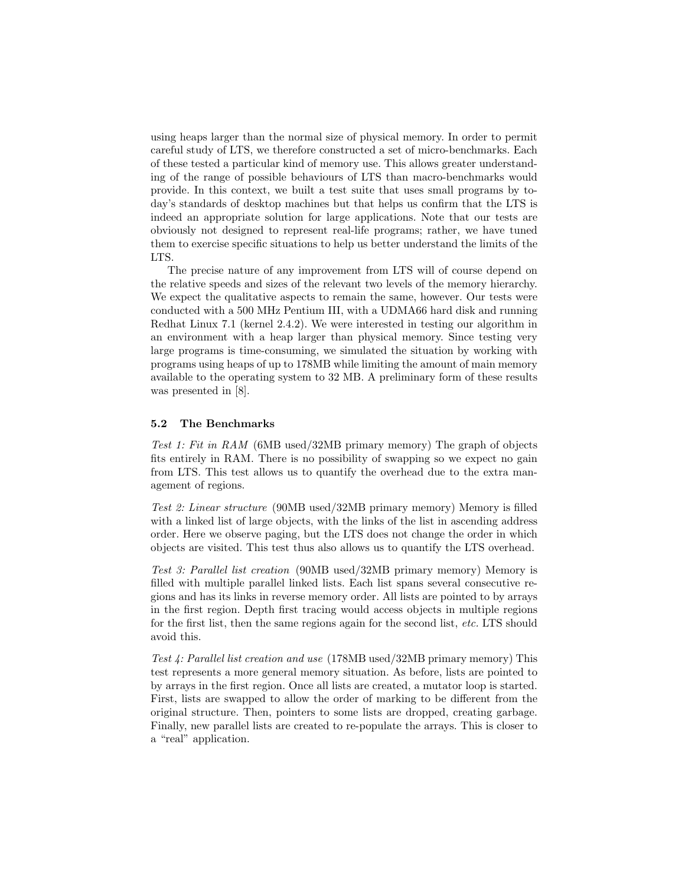using heaps larger than the normal size of physical memory. In order to permit careful study of LTS, we therefore constructed a set of micro-benchmarks. Each of these tested a particular kind of memory use. This allows greater understanding of the range of possible behaviours of LTS than macro-benchmarks would provide. In this context, we built a test suite that uses small programs by today's standards of desktop machines but that helps us confirm that the LTS is indeed an appropriate solution for large applications. Note that our tests are obviously not designed to represent real-life programs; rather, we have tuned them to exercise specific situations to help us better understand the limits of the LTS.

The precise nature of any improvement from LTS will of course depend on the relative speeds and sizes of the relevant two levels of the memory hierarchy. We expect the qualitative aspects to remain the same, however. Our tests were conducted with a 500 MHz Pentium III, with a UDMA66 hard disk and running Redhat Linux 7.1 (kernel 2.4.2). We were interested in testing our algorithm in an environment with a heap larger than physical memory. Since testing very large programs is time-consuming, we simulated the situation by working with programs using heaps of up to 178MB while limiting the amount of main memory available to the operating system to 32 MB. A preliminary form of these results was presented in [8].

#### 5.2 The Benchmarks

Test 1: Fit in RAM (6MB used/32MB primary memory) The graph of objects fits entirely in RAM. There is no possibility of swapping so we expect no gain from LTS. This test allows us to quantify the overhead due to the extra management of regions.

Test 2: Linear structure (90MB used/32MB primary memory) Memory is filled with a linked list of large objects, with the links of the list in ascending address order. Here we observe paging, but the LTS does not change the order in which objects are visited. This test thus also allows us to quantify the LTS overhead.

Test 3: Parallel list creation (90MB used/32MB primary memory) Memory is filled with multiple parallel linked lists. Each list spans several consecutive regions and has its links in reverse memory order. All lists are pointed to by arrays in the first region. Depth first tracing would access objects in multiple regions for the first list, then the same regions again for the second list, etc. LTS should avoid this.

Test 4: Parallel list creation and use (178MB used/32MB primary memory) This test represents a more general memory situation. As before, lists are pointed to by arrays in the first region. Once all lists are created, a mutator loop is started. First, lists are swapped to allow the order of marking to be different from the original structure. Then, pointers to some lists are dropped, creating garbage. Finally, new parallel lists are created to re-populate the arrays. This is closer to a "real" application.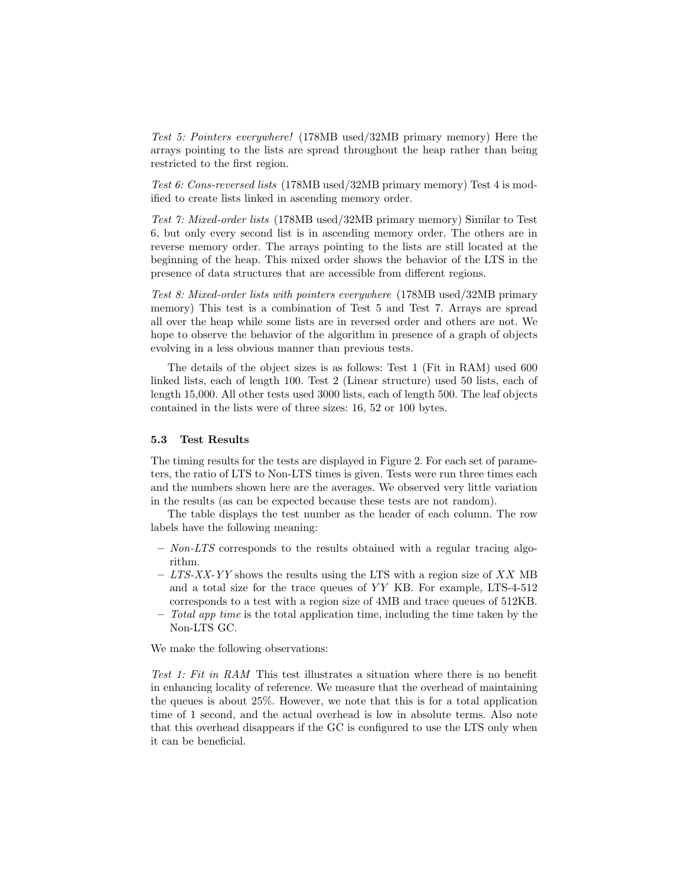Test 5: Pointers everywhere! (178MB used/32MB primary memory) Here the arrays pointing to the lists are spread throughout the heap rather than being restricted to the first region.

Test 6: Cons-reversed lists (178MB used/32MB primary memory) Test 4 is modified to create lists linked in ascending memory order.

Test 7: Mixed-order lists (178MB used/32MB primary memory) Similar to Test 6, but only every second list is in ascending memory order. The others are in reverse memory order. The arrays pointing to the lists are still located at the beginning of the heap. This mixed order shows the behavior of the LTS in the presence of data structures that are accessible from different regions.

Test 8: Mixed-order lists with pointers everywhere (178MB used/32MB primary memory) This test is a combination of Test 5 and Test 7. Arrays are spread all over the heap while some lists are in reversed order and others are not. We hope to observe the behavior of the algorithm in presence of a graph of objects evolving in a less obvious manner than previous tests.

The details of the object sizes is as follows: Test 1 (Fit in RAM) used 600 linked lists, each of length 100. Test 2 (Linear structure) used 50 lists, each of length 15,000. All other tests used 3000 lists, each of length 500. The leaf objects contained in the lists were of three sizes: 16, 52 or 100 bytes.

### 5.3 Test Results

The timing results for the tests are displayed in Figure 2. For each set of parameters, the ratio of LTS to Non-LTS times is given. Tests were run three times each and the numbers shown here are the averages. We observed very little variation in the results (as can be expected because these tests are not random).

The table displays the test number as the header of each column. The row labels have the following meaning:

- Non-LTS corresponds to the results obtained with a regular tracing algorithm.
- $-$  LTS-XX-YY shows the results using the LTS with a region size of XX MB and a total size for the trace queues of  $YY$  KB. For example, LTS-4-512 corresponds to a test with a region size of 4MB and trace queues of 512KB.
- Total app time is the total application time, including the time taken by the Non-LTS GC.

We make the following observations:

Test 1: Fit in RAM This test illustrates a situation where there is no benefit in enhancing locality of reference. We measure that the overhead of maintaining the queues is about 25%. However, we note that this is for a total application time of 1 second, and the actual overhead is low in absolute terms. Also note that this overhead disappears if the GC is configured to use the LTS only when it can be beneficial.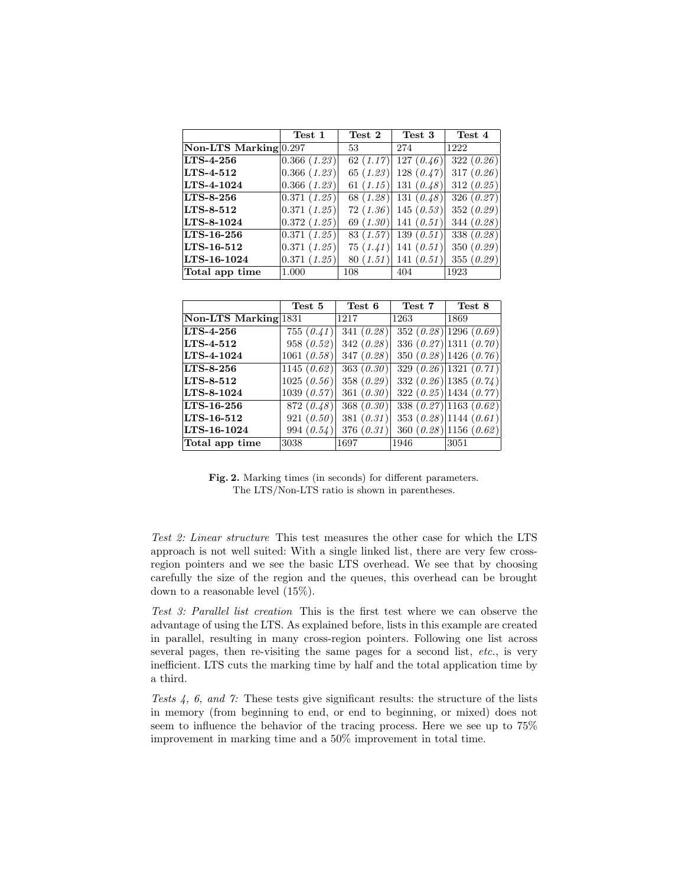|                         | Test 1      | Test 2      | Test 3       | Test 4       |
|-------------------------|-------------|-------------|--------------|--------------|
| Non-LTS Marking $0.297$ |             | 53          | 274          | 1222         |
| $LTS-4-256$             | 0.366(1.23) | 62 $(1.17)$ | 127 $(0.46)$ | 322(0.26)    |
| $LTS-4-512$             | 0.366(1.23) | 65 $(1.23)$ | 128(0.47)    | 317 $(0.26)$ |
| LTS-4-1024              | 0.366(1.23) | 61 $(1.15)$ | 131 $(0.48)$ | 312(0.25)    |
| $LTS-8-256$             | 0.371(1.25) | 68 (1.28)   | 131 $(0.48)$ | 326(0.27)    |
| $LTS-8-512$             | 0.371(1.25) | 72(1.36)    | 145 $(0.53)$ | 352(0.29)    |
| $LTS-8-1024$            | 0.372(1.25) | 69 $(1.30)$ | 141 $(0.51)$ | 344 $(0.28)$ |
| $LTS-16-256$            | 0.371(1.25) | 83 (1.57)   | 139(0.51)    | 338 $(0.28)$ |
| $LTS-16-512$            | 0.371(1.25) | 75(1.41)    | 141 $(0.51)$ | 350 $(0.29)$ |
| LTS-16-1024             | 0.371(1.25) | 80(1.51)    | 141 $(0.51)$ | 355(0.29)    |
| Total app time          | 1.000       | 108         | 404          | 1923         |

|                      | Test 5        | Test 6       | Test 7 | Test 8                      |
|----------------------|---------------|--------------|--------|-----------------------------|
| Non-LTS Marking 1831 |               | 1217         | 1263   | 1869                        |
| $LTS-4-256$          | 755(0.41)     | 341 $(0.28)$ |        | 352 $(0.28)$ 1296 $(0.69)$  |
| LTS-4-512            | 958(0.52)     | 342(0.28)    |        | 336 $(0.27)$  1311 $(0.70)$ |
| LTS-4-1024           | 1061 $(0.58)$ | 347 $(0.28)$ |        | 350 (0.28)   1426 (0.76)    |
| LTS-8-256            | 1145 $(0.62)$ | 363 $(0.30)$ |        | 329 (0.26)   1321 (0.71)    |
| $LTS-8-512$          | 1025(0.56)    | 358(0.29)    |        | 332 $(0.26)$ 1385 $(0.74)$  |
| LTS-8-1024           | 1039(0.57)    | 361 $(0.30)$ |        | 322 (0.25)   1434 (0.77)    |
| LTS-16-256           | 872(0.48)     | 368 $(0.30)$ |        | 338 $(0.27)$  1163 $(0.62)$ |
| LTS-16-512           | 921 (0.50)    | 381 $(0.31)$ |        | $353(0.28)$  1144 $(0.61)$  |
| LTS-16-1024          | 994 $(0.54)$  | 376(0.31)    |        | 360 $(0.28)$  1156 $(0.62)$ |
| Total app time       | 3038          | 1697         | 1946   | 3051                        |

Fig. 2. Marking times (in seconds) for different parameters. The LTS/Non-LTS ratio is shown in parentheses.

Test 2: Linear structure This test measures the other case for which the LTS approach is not well suited: With a single linked list, there are very few crossregion pointers and we see the basic LTS overhead. We see that by choosing carefully the size of the region and the queues, this overhead can be brought down to a reasonable level (15%).

Test 3: Parallel list creation This is the first test where we can observe the advantage of using the LTS. As explained before, lists in this example are created in parallel, resulting in many cross-region pointers. Following one list across several pages, then re-visiting the same pages for a second list, etc., is very inefficient. LTS cuts the marking time by half and the total application time by a third.

Tests 4, 6, and 7: These tests give significant results: the structure of the lists in memory (from beginning to end, or end to beginning, or mixed) does not seem to influence the behavior of the tracing process. Here we see up to 75% improvement in marking time and a 50% improvement in total time.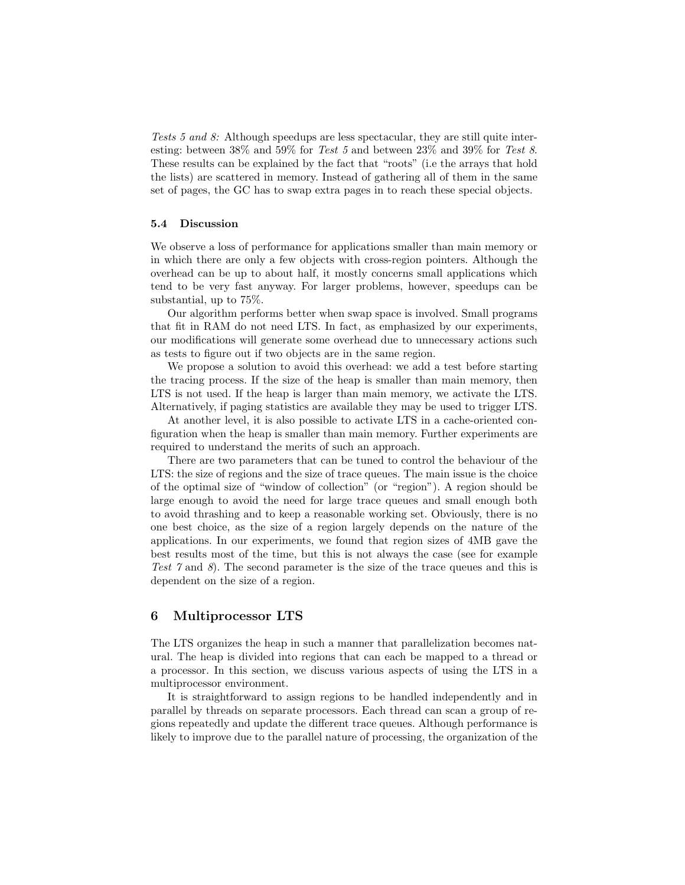Tests 5 and 8: Although speedups are less spectacular, they are still quite interesting: between 38% and 59% for Test 5 and between 23% and 39% for Test 8. These results can be explained by the fact that "roots" (i.e the arrays that hold the lists) are scattered in memory. Instead of gathering all of them in the same set of pages, the GC has to swap extra pages in to reach these special objects.

#### 5.4 Discussion

We observe a loss of performance for applications smaller than main memory or in which there are only a few objects with cross-region pointers. Although the overhead can be up to about half, it mostly concerns small applications which tend to be very fast anyway. For larger problems, however, speedups can be substantial, up to 75%.

Our algorithm performs better when swap space is involved. Small programs that fit in RAM do not need LTS. In fact, as emphasized by our experiments, our modifications will generate some overhead due to unnecessary actions such as tests to figure out if two objects are in the same region.

We propose a solution to avoid this overhead: we add a test before starting the tracing process. If the size of the heap is smaller than main memory, then LTS is not used. If the heap is larger than main memory, we activate the LTS. Alternatively, if paging statistics are available they may be used to trigger LTS.

At another level, it is also possible to activate LTS in a cache-oriented configuration when the heap is smaller than main memory. Further experiments are required to understand the merits of such an approach.

There are two parameters that can be tuned to control the behaviour of the LTS: the size of regions and the size of trace queues. The main issue is the choice of the optimal size of "window of collection" (or "region"). A region should be large enough to avoid the need for large trace queues and small enough both to avoid thrashing and to keep a reasonable working set. Obviously, there is no one best choice, as the size of a region largely depends on the nature of the applications. In our experiments, we found that region sizes of 4MB gave the best results most of the time, but this is not always the case (see for example Test  $\gamma$  and  $\gamma$ ). The second parameter is the size of the trace queues and this is dependent on the size of a region.

## 6 Multiprocessor LTS

The LTS organizes the heap in such a manner that parallelization becomes natural. The heap is divided into regions that can each be mapped to a thread or a processor. In this section, we discuss various aspects of using the LTS in a multiprocessor environment.

It is straightforward to assign regions to be handled independently and in parallel by threads on separate processors. Each thread can scan a group of regions repeatedly and update the different trace queues. Although performance is likely to improve due to the parallel nature of processing, the organization of the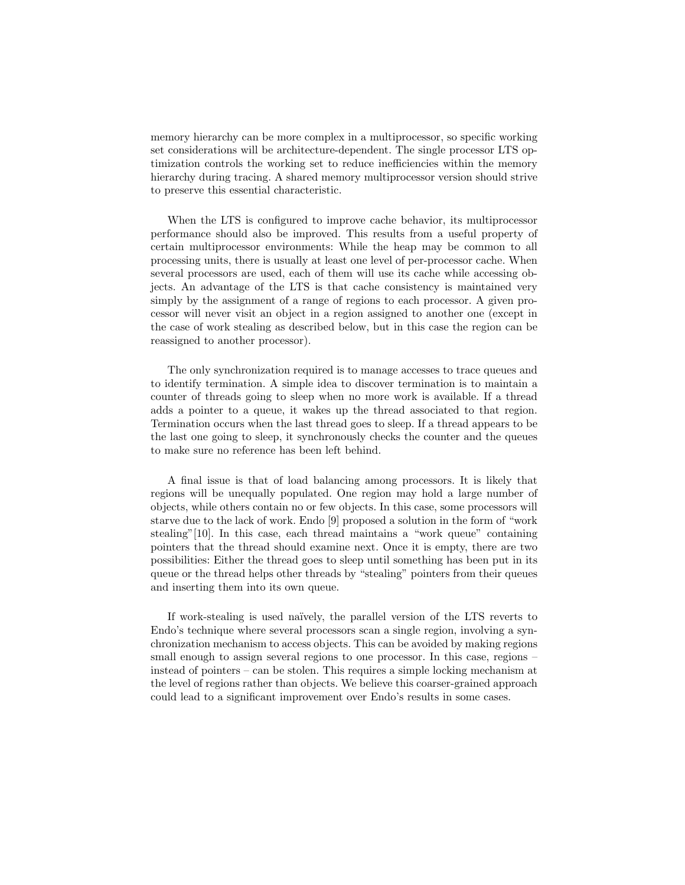memory hierarchy can be more complex in a multiprocessor, so specific working set considerations will be architecture-dependent. The single processor LTS optimization controls the working set to reduce inefficiencies within the memory hierarchy during tracing. A shared memory multiprocessor version should strive to preserve this essential characteristic.

When the LTS is configured to improve cache behavior, its multiprocessor performance should also be improved. This results from a useful property of certain multiprocessor environments: While the heap may be common to all processing units, there is usually at least one level of per-processor cache. When several processors are used, each of them will use its cache while accessing objects. An advantage of the LTS is that cache consistency is maintained very simply by the assignment of a range of regions to each processor. A given processor will never visit an object in a region assigned to another one (except in the case of work stealing as described below, but in this case the region can be reassigned to another processor).

The only synchronization required is to manage accesses to trace queues and to identify termination. A simple idea to discover termination is to maintain a counter of threads going to sleep when no more work is available. If a thread adds a pointer to a queue, it wakes up the thread associated to that region. Termination occurs when the last thread goes to sleep. If a thread appears to be the last one going to sleep, it synchronously checks the counter and the queues to make sure no reference has been left behind.

A final issue is that of load balancing among processors. It is likely that regions will be unequally populated. One region may hold a large number of objects, while others contain no or few objects. In this case, some processors will starve due to the lack of work. Endo [9] proposed a solution in the form of "work stealing"[10]. In this case, each thread maintains a "work queue" containing pointers that the thread should examine next. Once it is empty, there are two possibilities: Either the thread goes to sleep until something has been put in its queue or the thread helps other threads by "stealing" pointers from their queues and inserting them into its own queue.

If work-stealing is used na¨ıvely, the parallel version of the LTS reverts to Endo's technique where several processors scan a single region, involving a synchronization mechanism to access objects. This can be avoided by making regions small enough to assign several regions to one processor. In this case, regions – instead of pointers – can be stolen. This requires a simple locking mechanism at the level of regions rather than objects. We believe this coarser-grained approach could lead to a significant improvement over Endo's results in some cases.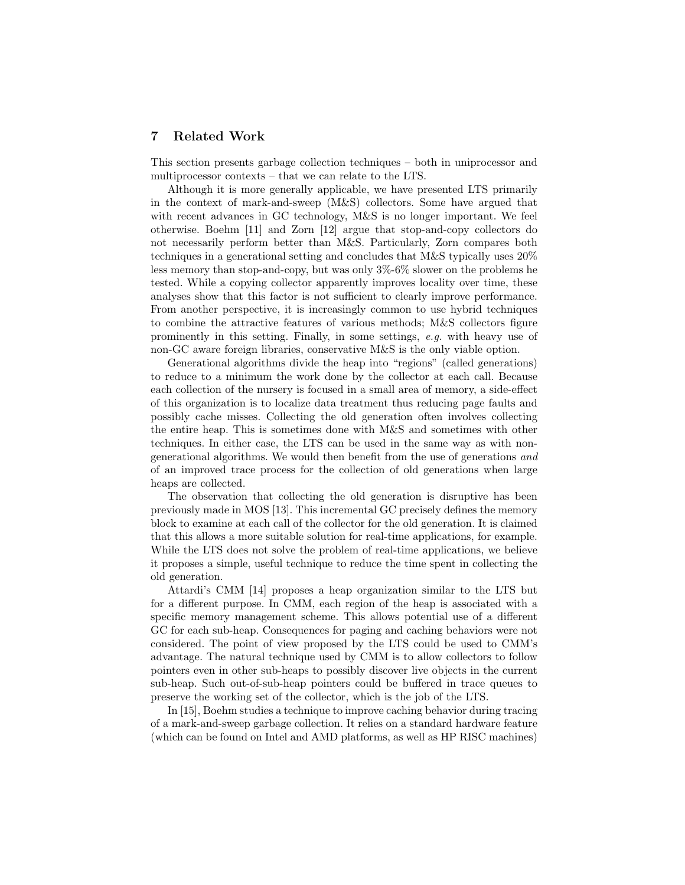## 7 Related Work

This section presents garbage collection techniques – both in uniprocessor and multiprocessor contexts – that we can relate to the LTS.

Although it is more generally applicable, we have presented LTS primarily in the context of mark-and-sweep (M&S) collectors. Some have argued that with recent advances in GC technology, M&S is no longer important. We feel otherwise. Boehm [11] and Zorn [12] argue that stop-and-copy collectors do not necessarily perform better than M&S. Particularly, Zorn compares both techniques in a generational setting and concludes that M&S typically uses 20% less memory than stop-and-copy, but was only 3%-6% slower on the problems he tested. While a copying collector apparently improves locality over time, these analyses show that this factor is not sufficient to clearly improve performance. From another perspective, it is increasingly common to use hybrid techniques to combine the attractive features of various methods; M&S collectors figure prominently in this setting. Finally, in some settings, e.g. with heavy use of non-GC aware foreign libraries, conservative M&S is the only viable option.

Generational algorithms divide the heap into "regions" (called generations) to reduce to a minimum the work done by the collector at each call. Because each collection of the nursery is focused in a small area of memory, a side-effect of this organization is to localize data treatment thus reducing page faults and possibly cache misses. Collecting the old generation often involves collecting the entire heap. This is sometimes done with M&S and sometimes with other techniques. In either case, the LTS can be used in the same way as with nongenerational algorithms. We would then benefit from the use of generations and of an improved trace process for the collection of old generations when large heaps are collected.

The observation that collecting the old generation is disruptive has been previously made in MOS [13]. This incremental GC precisely defines the memory block to examine at each call of the collector for the old generation. It is claimed that this allows a more suitable solution for real-time applications, for example. While the LTS does not solve the problem of real-time applications, we believe it proposes a simple, useful technique to reduce the time spent in collecting the old generation.

Attardi's CMM [14] proposes a heap organization similar to the LTS but for a different purpose. In CMM, each region of the heap is associated with a specific memory management scheme. This allows potential use of a different GC for each sub-heap. Consequences for paging and caching behaviors were not considered. The point of view proposed by the LTS could be used to CMM's advantage. The natural technique used by CMM is to allow collectors to follow pointers even in other sub-heaps to possibly discover live objects in the current sub-heap. Such out-of-sub-heap pointers could be buffered in trace queues to preserve the working set of the collector, which is the job of the LTS.

In [15], Boehm studies a technique to improve caching behavior during tracing of a mark-and-sweep garbage collection. It relies on a standard hardware feature (which can be found on Intel and AMD platforms, as well as HP RISC machines)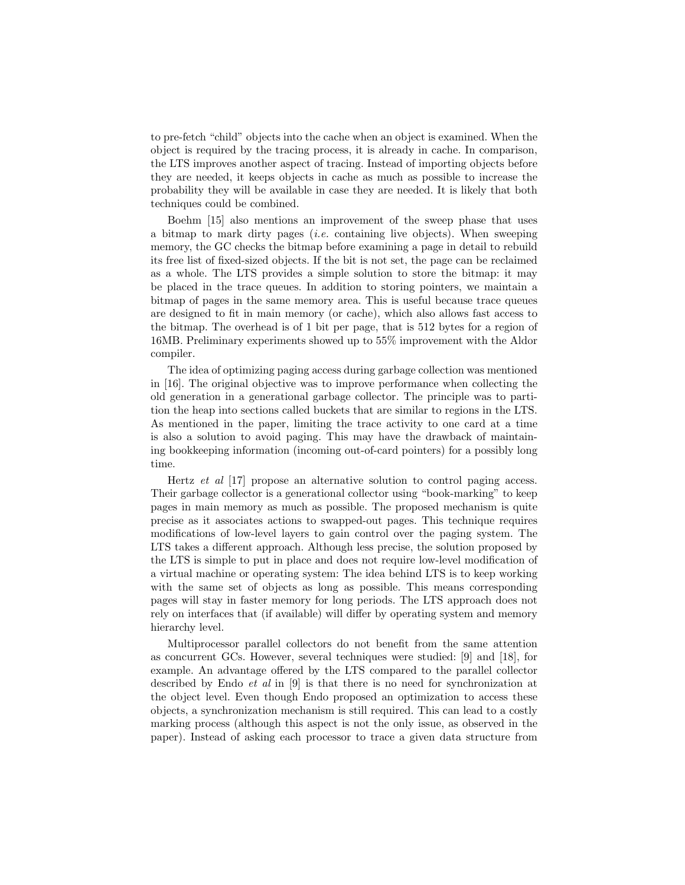to pre-fetch "child" objects into the cache when an object is examined. When the object is required by the tracing process, it is already in cache. In comparison, the LTS improves another aspect of tracing. Instead of importing objects before they are needed, it keeps objects in cache as much as possible to increase the probability they will be available in case they are needed. It is likely that both techniques could be combined.

Boehm [15] also mentions an improvement of the sweep phase that uses a bitmap to mark dirty pages (*i.e.* containing live objects). When sweeping memory, the GC checks the bitmap before examining a page in detail to rebuild its free list of fixed-sized objects. If the bit is not set, the page can be reclaimed as a whole. The LTS provides a simple solution to store the bitmap: it may be placed in the trace queues. In addition to storing pointers, we maintain a bitmap of pages in the same memory area. This is useful because trace queues are designed to fit in main memory (or cache), which also allows fast access to the bitmap. The overhead is of 1 bit per page, that is 512 bytes for a region of 16MB. Preliminary experiments showed up to 55% improvement with the Aldor compiler.

The idea of optimizing paging access during garbage collection was mentioned in [16]. The original objective was to improve performance when collecting the old generation in a generational garbage collector. The principle was to partition the heap into sections called buckets that are similar to regions in the LTS. As mentioned in the paper, limiting the trace activity to one card at a time is also a solution to avoid paging. This may have the drawback of maintaining bookkeeping information (incoming out-of-card pointers) for a possibly long time.

Hertz et al [17] propose an alternative solution to control paging access. Their garbage collector is a generational collector using "book-marking" to keep pages in main memory as much as possible. The proposed mechanism is quite precise as it associates actions to swapped-out pages. This technique requires modifications of low-level layers to gain control over the paging system. The LTS takes a different approach. Although less precise, the solution proposed by the LTS is simple to put in place and does not require low-level modification of a virtual machine or operating system: The idea behind LTS is to keep working with the same set of objects as long as possible. This means corresponding pages will stay in faster memory for long periods. The LTS approach does not rely on interfaces that (if available) will differ by operating system and memory hierarchy level.

Multiprocessor parallel collectors do not benefit from the same attention as concurrent GCs. However, several techniques were studied: [9] and [18], for example. An advantage offered by the LTS compared to the parallel collector described by Endo *et al* in [9] is that there is no need for synchronization at the object level. Even though Endo proposed an optimization to access these objects, a synchronization mechanism is still required. This can lead to a costly marking process (although this aspect is not the only issue, as observed in the paper). Instead of asking each processor to trace a given data structure from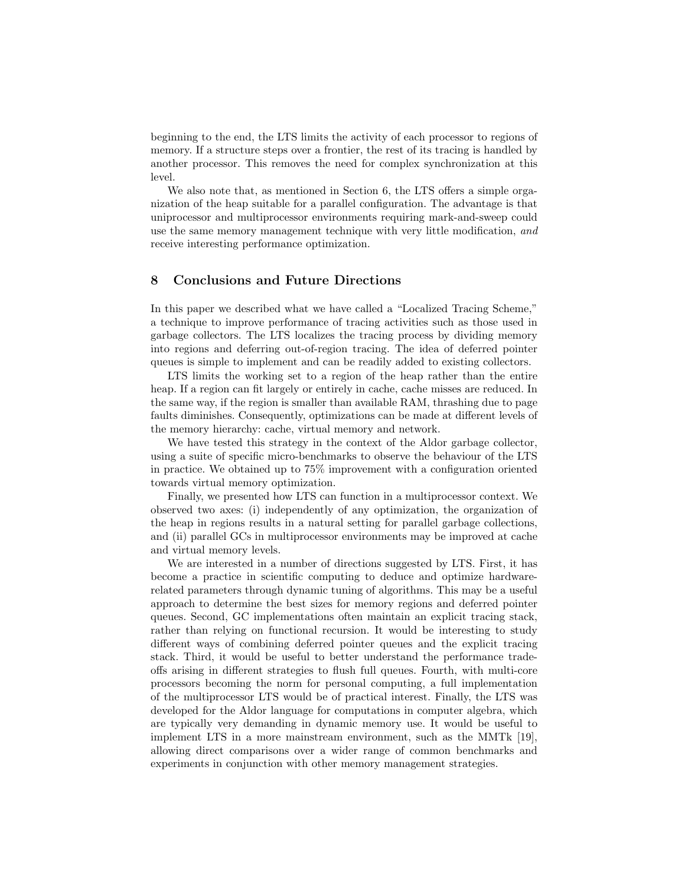beginning to the end, the LTS limits the activity of each processor to regions of memory. If a structure steps over a frontier, the rest of its tracing is handled by another processor. This removes the need for complex synchronization at this level.

We also note that, as mentioned in Section 6, the LTS offers a simple organization of the heap suitable for a parallel configuration. The advantage is that uniprocessor and multiprocessor environments requiring mark-and-sweep could use the same memory management technique with very little modification, and receive interesting performance optimization.

# 8 Conclusions and Future Directions

In this paper we described what we have called a "Localized Tracing Scheme," a technique to improve performance of tracing activities such as those used in garbage collectors. The LTS localizes the tracing process by dividing memory into regions and deferring out-of-region tracing. The idea of deferred pointer queues is simple to implement and can be readily added to existing collectors.

LTS limits the working set to a region of the heap rather than the entire heap. If a region can fit largely or entirely in cache, cache misses are reduced. In the same way, if the region is smaller than available RAM, thrashing due to page faults diminishes. Consequently, optimizations can be made at different levels of the memory hierarchy: cache, virtual memory and network.

We have tested this strategy in the context of the Aldor garbage collector, using a suite of specific micro-benchmarks to observe the behaviour of the LTS in practice. We obtained up to 75% improvement with a configuration oriented towards virtual memory optimization.

Finally, we presented how LTS can function in a multiprocessor context. We observed two axes: (i) independently of any optimization, the organization of the heap in regions results in a natural setting for parallel garbage collections, and (ii) parallel GCs in multiprocessor environments may be improved at cache and virtual memory levels.

We are interested in a number of directions suggested by LTS. First, it has become a practice in scientific computing to deduce and optimize hardwarerelated parameters through dynamic tuning of algorithms. This may be a useful approach to determine the best sizes for memory regions and deferred pointer queues. Second, GC implementations often maintain an explicit tracing stack, rather than relying on functional recursion. It would be interesting to study different ways of combining deferred pointer queues and the explicit tracing stack. Third, it would be useful to better understand the performance tradeoffs arising in different strategies to flush full queues. Fourth, with multi-core processors becoming the norm for personal computing, a full implementation of the multiprocessor LTS would be of practical interest. Finally, the LTS was developed for the Aldor language for computations in computer algebra, which are typically very demanding in dynamic memory use. It would be useful to implement LTS in a more mainstream environment, such as the MMTk [19], allowing direct comparisons over a wider range of common benchmarks and experiments in conjunction with other memory management strategies.